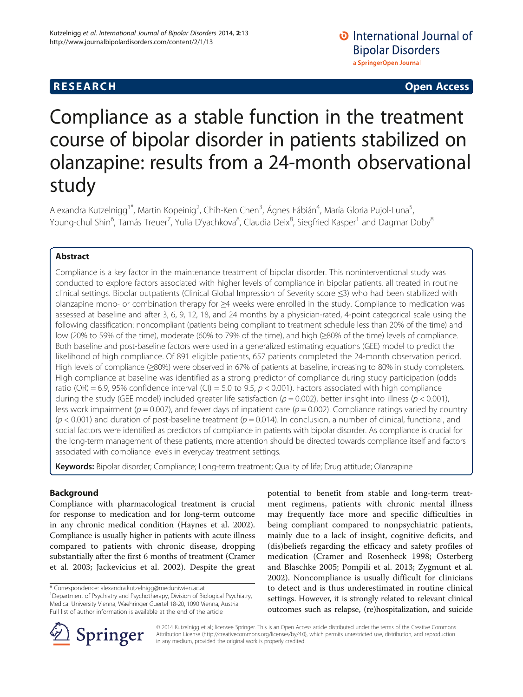# **RESEARCH CHE Open Access**

# Compliance as a stable function in the treatment course of bipolar disorder in patients stabilized on olanzapine: results from a 24-month observational study

Alexandra Kutzelnigg<sup>1\*</sup>, Martin Kopeinig<sup>2</sup>, Chih-Ken Chen<sup>3</sup>, Ágnes Fábián<sup>4</sup>, María Gloria Pujol-Luna<sup>5</sup> , Young-chul Shin<sup>6</sup>, Tamás Treuer<sup>7</sup>, Yulia D'yachkova<sup>8</sup>, Claudia Deix<sup>8</sup>, Siegfried Kasper<sup>1</sup> and Dagmar Doby<sup>8</sup>

# Abstract

Compliance is a key factor in the maintenance treatment of bipolar disorder. This noninterventional study was conducted to explore factors associated with higher levels of compliance in bipolar patients, all treated in routine clinical settings. Bipolar outpatients (Clinical Global Impression of Severity score ≤3) who had been stabilized with olanzapine mono- or combination therapy for ≥4 weeks were enrolled in the study. Compliance to medication was assessed at baseline and after 3, 6, 9, 12, 18, and 24 months by a physician-rated, 4-point categorical scale using the following classification: noncompliant (patients being compliant to treatment schedule less than 20% of the time) and low (20% to 59% of the time), moderate (60% to 79% of the time), and high (≥80% of the time) levels of compliance. Both baseline and post-baseline factors were used in a generalized estimating equations (GEE) model to predict the likelihood of high compliance. Of 891 eligible patients, 657 patients completed the 24-month observation period. High levels of compliance (≥80%) were observed in 67% of patients at baseline, increasing to 80% in study completers. High compliance at baseline was identified as a strong predictor of compliance during study participation (odds ratio (OR) = 6.9, 95% confidence interval (CI) = 5.0 to 9.5,  $p < 0.001$ ). Factors associated with high compliance during the study (GEE model) included greater life satisfaction ( $p = 0.002$ ), better insight into illness ( $p < 0.001$ ), less work impairment ( $p = 0.007$ ), and fewer days of inpatient care ( $p = 0.002$ ). Compliance ratings varied by country  $(p < 0.001)$  and duration of post-baseline treatment  $(p = 0.014)$ . In conclusion, a number of clinical, functional, and social factors were identified as predictors of compliance in patients with bipolar disorder. As compliance is crucial for the long-term management of these patients, more attention should be directed towards compliance itself and factors associated with compliance levels in everyday treatment settings.

Keywords: Bipolar disorder; Compliance; Long-term treatment; Quality of life; Drug attitude; Olanzapine

# Background

Compliance with pharmacological treatment is crucial for response to medication and for long-term outcome in any chronic medical condition (Haynes et al. [2002](#page-12-0)). Compliance is usually higher in patients with acute illness compared to patients with chronic disease, dropping substantially after the first 6 months of treatment (Cramer et al. [2003](#page-12-0); Jackevicius et al. [2002](#page-12-0)). Despite the great

potential to benefit from stable and long-term treatment regimens, patients with chronic mental illness may frequently face more and specific difficulties in being compliant compared to nonpsychiatric patients, mainly due to a lack of insight, cognitive deficits, and (dis)beliefs regarding the efficacy and safety profiles of medication (Cramer and Rosenheck [1998](#page-12-0); Osterberg and Blaschke [2005;](#page-12-0) Pompili et al. [2013](#page-12-0); Zygmunt et al. [2002\)](#page-13-0). Noncompliance is usually difficult for clinicians to detect and is thus underestimated in routine clinical settings. However, it is strongly related to relevant clinical outcomes such as relapse, (re)hospitalization, and suicide



© 2014 Kutzelnigg et al.; licensee Springer. This is an Open Access article distributed under the terms of the Creative Commons Attribution License [\(http://creativecommons.org/licenses/by/4.0\)](http://creativecommons.org/licenses/by/4.0), which permits unrestricted use, distribution, and reproduction in any medium, provided the original work is properly credited.

<sup>\*</sup> Correspondence: [alexandra.kutzelnigg@meduniwien.ac.at](mailto:alexandra.kutzelnigg@meduniwien.ac.at) <sup>1</sup>

<sup>&</sup>lt;sup>1</sup>Department of Psychiatry and Psychotherapy, Division of Biological Psychiatry, Medical University Vienna, Waehringer Guertel 18-20, 1090 Vienna, Austria Full list of author information is available at the end of the article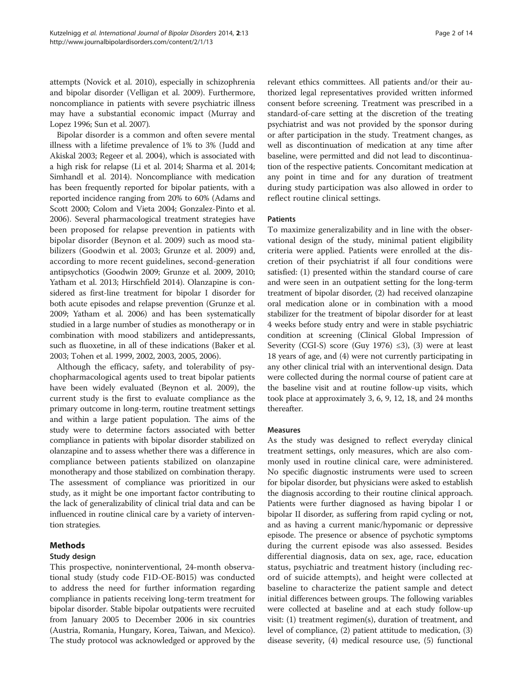attempts (Novick et al. [2010](#page-12-0)), especially in schizophrenia and bipolar disorder (Velligan et al. [2009](#page-13-0)). Furthermore, noncompliance in patients with severe psychiatric illness may have a substantial economic impact (Murray and

Lopez [1996;](#page-12-0) Sun et al. [2007](#page-12-0)). Bipolar disorder is a common and often severe mental illness with a lifetime prevalence of 1% to 3% (Judd and Akiskal [2003](#page-12-0); Regeer et al. [2004](#page-12-0)), which is associated with a high risk for relapse (Li et al. [2014;](#page-12-0) Sharma et al. [2014](#page-12-0); Simhandl et al. [2014\)](#page-12-0). Noncompliance with medication has been frequently reported for bipolar patients, with a reported incidence ranging from 20% to 60% (Adams and Scott [2000](#page-11-0); Colom and Vieta [2004](#page-12-0); Gonzalez-Pinto et al. [2006\)](#page-12-0). Several pharmacological treatment strategies have been proposed for relapse prevention in patients with bipolar disorder (Beynon et al. [2009\)](#page-12-0) such as mood stabilizers (Goodwin et al. [2003](#page-12-0); Grunze et al. [2009](#page-12-0)) and, according to more recent guidelines, second-generation antipsychotics (Goodwin [2009](#page-12-0); Grunze et al. [2009](#page-12-0), [2010](#page-12-0); Yatham et al. [2013;](#page-13-0) Hirschfield [2014](#page-12-0)). Olanzapine is considered as first-line treatment for bipolar I disorder for both acute episodes and relapse prevention (Grunze et al. [2009;](#page-12-0) Yatham et al. [2006\)](#page-13-0) and has been systematically studied in a large number of studies as monotherapy or in combination with mood stabilizers and antidepressants, such as fluoxetine, in all of these indications (Baker et al. [2003;](#page-12-0) Tohen et al. [1999](#page-13-0), [2002](#page-13-0), [2003](#page-13-0), [2005](#page-13-0), [2006](#page-13-0)).

Although the efficacy, safety, and tolerability of psychopharmacological agents used to treat bipolar patients have been widely evaluated (Beynon et al. [2009\)](#page-12-0), the current study is the first to evaluate compliance as the primary outcome in long-term, routine treatment settings and within a large patient population. The aims of the study were to determine factors associated with better compliance in patients with bipolar disorder stabilized on olanzapine and to assess whether there was a difference in compliance between patients stabilized on olanzapine monotherapy and those stabilized on combination therapy. The assessment of compliance was prioritized in our study, as it might be one important factor contributing to the lack of generalizability of clinical trial data and can be influenced in routine clinical care by a variety of intervention strategies.

# Methods

#### Study design

This prospective, noninterventional, 24-month observational study (study code F1D-OE-B015) was conducted to address the need for further information regarding compliance in patients receiving long-term treatment for bipolar disorder. Stable bipolar outpatients were recruited from January 2005 to December 2006 in six countries (Austria, Romania, Hungary, Korea, Taiwan, and Mexico). The study protocol was acknowledged or approved by the relevant ethics committees. All patients and/or their authorized legal representatives provided written informed consent before screening. Treatment was prescribed in a standard-of-care setting at the discretion of the treating psychiatrist and was not provided by the sponsor during or after participation in the study. Treatment changes, as well as discontinuation of medication at any time after baseline, were permitted and did not lead to discontinuation of the respective patients. Concomitant medication at any point in time and for any duration of treatment during study participation was also allowed in order to reflect routine clinical settings.

## Patients

To maximize generalizability and in line with the observational design of the study, minimal patient eligibility criteria were applied. Patients were enrolled at the discretion of their psychiatrist if all four conditions were satisfied: (1) presented within the standard course of care and were seen in an outpatient setting for the long-term treatment of bipolar disorder, (2) had received olanzapine oral medication alone or in combination with a mood stabilizer for the treatment of bipolar disorder for at least 4 weeks before study entry and were in stable psychiatric condition at screening (Clinical Global Impression of Severity (CGI-S) score (Guy [1976](#page-12-0))  $\leq$ 3), (3) were at least 18 years of age, and (4) were not currently participating in any other clinical trial with an interventional design. Data were collected during the normal course of patient care at the baseline visit and at routine follow-up visits, which took place at approximately 3, 6, 9, 12, 18, and 24 months thereafter.

#### Measures

As the study was designed to reflect everyday clinical treatment settings, only measures, which are also commonly used in routine clinical care, were administered. No specific diagnostic instruments were used to screen for bipolar disorder, but physicians were asked to establish the diagnosis according to their routine clinical approach. Patients were further diagnosed as having bipolar I or bipolar II disorder, as suffering from rapid cycling or not, and as having a current manic/hypomanic or depressive episode. The presence or absence of psychotic symptoms during the current episode was also assessed. Besides differential diagnosis, data on sex, age, race, education status, psychiatric and treatment history (including record of suicide attempts), and height were collected at baseline to characterize the patient sample and detect initial differences between groups. The following variables were collected at baseline and at each study follow-up visit: (1) treatment regimen(s), duration of treatment, and level of compliance, (2) patient attitude to medication, (3) disease severity, (4) medical resource use, (5) functional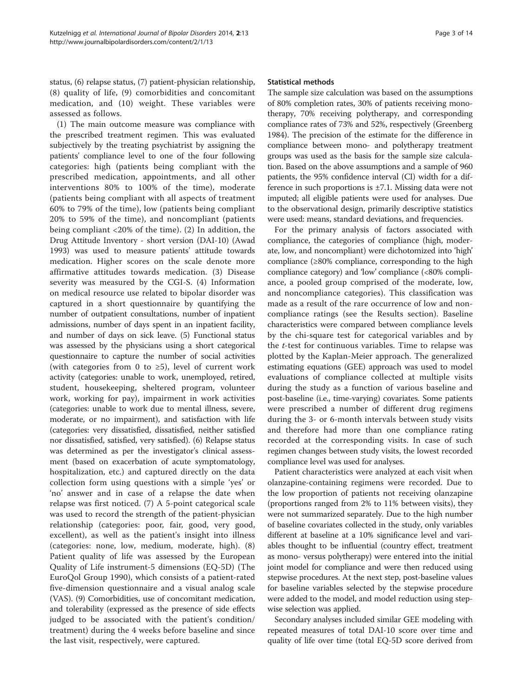status, (6) relapse status, (7) patient-physician relationship, (8) quality of life, (9) comorbidities and concomitant medication, and (10) weight. These variables were assessed as follows.

(1) The main outcome measure was compliance with the prescribed treatment regimen. This was evaluated subjectively by the treating psychiatrist by assigning the patients' compliance level to one of the four following categories: high (patients being compliant with the prescribed medication, appointments, and all other interventions 80% to 100% of the time), moderate (patients being compliant with all aspects of treatment 60% to 79% of the time), low (patients being compliant 20% to 59% of the time), and noncompliant (patients being compliant <20% of the time). (2) In addition, the Drug Attitude Inventory - short version (DAI-10) (Awad [1993\)](#page-12-0) was used to measure patients' attitude towards medication. Higher scores on the scale denote more affirmative attitudes towards medication. (3) Disease severity was measured by the CGI-S. (4) Information on medical resource use related to bipolar disorder was captured in a short questionnaire by quantifying the number of outpatient consultations, number of inpatient admissions, number of days spent in an inpatient facility, and number of days on sick leave. (5) Functional status was assessed by the physicians using a short categorical questionnaire to capture the number of social activities (with categories from 0 to  $\geq 5$ ), level of current work activity (categories: unable to work, unemployed, retired, student, housekeeping, sheltered program, volunteer work, working for pay), impairment in work activities (categories: unable to work due to mental illness, severe, moderate, or no impairment), and satisfaction with life (categories: very dissatisfied, dissatisfied, neither satisfied nor dissatisfied, satisfied, very satisfied). (6) Relapse status was determined as per the investigator's clinical assessment (based on exacerbation of acute symptomatology, hospitalization, etc.) and captured directly on the data collection form using questions with a simple 'yes' or 'no' answer and in case of a relapse the date when relapse was first noticed. (7) A 5-point categorical scale was used to record the strength of the patient-physician relationship (categories: poor, fair, good, very good, excellent), as well as the patient's insight into illness (categories: none, low, medium, moderate, high). (8) Patient quality of life was assessed by the European Quality of Life instrument-5 dimensions (EQ-5D) (The EuroQol Group [1990\)](#page-13-0), which consists of a patient-rated five-dimension questionnaire and a visual analog scale (VAS). (9) Comorbidities, use of concomitant medication, and tolerability (expressed as the presence of side effects judged to be associated with the patient's condition/ treatment) during the 4 weeks before baseline and since the last visit, respectively, were captured.

#### Statistical methods

The sample size calculation was based on the assumptions of 80% completion rates, 30% of patients receiving monotherapy, 70% receiving polytherapy, and corresponding compliance rates of 73% and 52%, respectively (Greenberg [1984](#page-12-0)). The precision of the estimate for the difference in compliance between mono- and polytherapy treatment groups was used as the basis for the sample size calculation. Based on the above assumptions and a sample of 960 patients, the 95% confidence interval (CI) width for a difference in such proportions is ±7.1. Missing data were not imputed; all eligible patients were used for analyses. Due to the observational design, primarily descriptive statistics were used: means, standard deviations, and frequencies.

For the primary analysis of factors associated with compliance, the categories of compliance (high, moderate, low, and noncompliant) were dichotomized into 'high' compliance (≥80% compliance, corresponding to the high compliance category) and 'low' compliance (<80% compliance, a pooled group comprised of the moderate, low, and noncompliance categories). This classification was made as a result of the rare occurrence of low and noncompliance ratings (see the [Results](#page-3-0) section). Baseline characteristics were compared between compliance levels by the chi-square test for categorical variables and by the t-test for continuous variables. Time to relapse was plotted by the Kaplan-Meier approach. The generalized estimating equations (GEE) approach was used to model evaluations of compliance collected at multiple visits during the study as a function of various baseline and post-baseline (i.e., time-varying) covariates. Some patients were prescribed a number of different drug regimens during the 3- or 6-month intervals between study visits and therefore had more than one compliance rating recorded at the corresponding visits. In case of such regimen changes between study visits, the lowest recorded compliance level was used for analyses.

Patient characteristics were analyzed at each visit when olanzapine-containing regimens were recorded. Due to the low proportion of patients not receiving olanzapine (proportions ranged from 2% to 11% between visits), they were not summarized separately. Due to the high number of baseline covariates collected in the study, only variables different at baseline at a 10% significance level and variables thought to be influential (country effect, treatment as mono- versus polytherapy) were entered into the initial joint model for compliance and were then reduced using stepwise procedures. At the next step, post-baseline values for baseline variables selected by the stepwise procedure were added to the model, and model reduction using stepwise selection was applied.

Secondary analyses included similar GEE modeling with repeated measures of total DAI-10 score over time and quality of life over time (total EQ-5D score derived from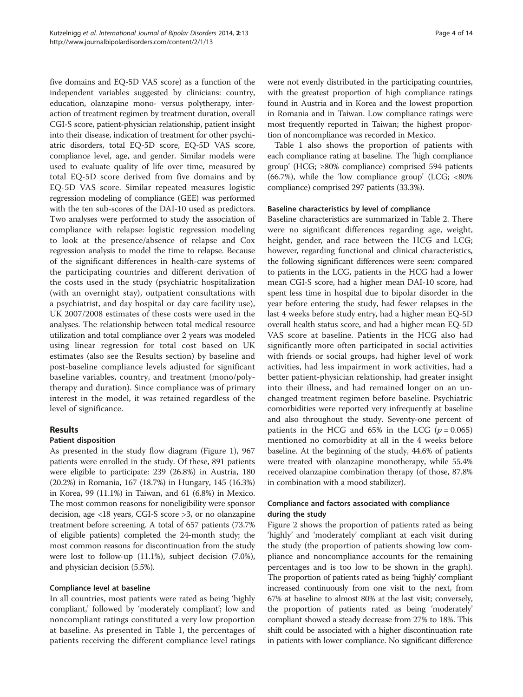<span id="page-3-0"></span>five domains and EQ-5D VAS score) as a function of the independent variables suggested by clinicians: country, education, olanzapine mono- versus polytherapy, interaction of treatment regimen by treatment duration, overall CGI-S score, patient-physician relationship, patient insight into their disease, indication of treatment for other psychiatric disorders, total EQ-5D score, EQ-5D VAS score, compliance level, age, and gender. Similar models were used to evaluate quality of life over time, measured by total EQ-5D score derived from five domains and by EQ-5D VAS score. Similar repeated measures logistic regression modeling of compliance (GEE) was performed with the ten sub-scores of the DAI-10 used as predictors. Two analyses were performed to study the association of compliance with relapse: logistic regression modeling to look at the presence/absence of relapse and Cox regression analysis to model the time to relapse. Because of the significant differences in health-care systems of the participating countries and different derivation of the costs used in the study (psychiatric hospitalization (with an overnight stay), outpatient consultations with a psychiatrist, and day hospital or day care facility use), UK 2007/2008 estimates of these costs were used in the analyses. The relationship between total medical resource utilization and total compliance over 2 years was modeled using linear regression for total cost based on UK estimates (also see the Results section) by baseline and post-baseline compliance levels adjusted for significant baseline variables, country, and treatment (mono/polytherapy and duration). Since compliance was of primary interest in the model, it was retained regardless of the level of significance.

# Results

#### Patient disposition

As presented in the study flow diagram (Figure [1](#page-4-0)), 967 patients were enrolled in the study. Of these, 891 patients were eligible to participate: 239 (26.8%) in Austria, 180 (20.2%) in Romania, 167 (18.7%) in Hungary, 145 (16.3%) in Korea, 99 (11.1%) in Taiwan, and 61 (6.8%) in Mexico. The most common reasons for noneligibility were sponsor decision, age <18 years, CGI-S score >3, or no olanzapine treatment before screening. A total of 657 patients (73.7% of eligible patients) completed the 24-month study; the most common reasons for discontinuation from the study were lost to follow-up (11.1%), subject decision (7.0%), and physician decision (5.5%).

#### Compliance level at baseline

In all countries, most patients were rated as being 'highly compliant,' followed by 'moderately compliant'; low and noncompliant ratings constituted a very low proportion at baseline. As presented in Table [1,](#page-4-0) the percentages of patients receiving the different compliance level ratings

were not evenly distributed in the participating countries, with the greatest proportion of high compliance ratings found in Austria and in Korea and the lowest proportion in Romania and in Taiwan. Low compliance ratings were most frequently reported in Taiwan; the highest proportion of noncompliance was recorded in Mexico.

Table [1](#page-4-0) also shows the proportion of patients with each compliance rating at baseline. The 'high compliance group' (HCG; ≥80% compliance) comprised 594 patients (66.7%), while the 'low compliance group' (LCG; <80% compliance) comprised 297 patients (33.3%).

#### Baseline characteristics by level of compliance

Baseline characteristics are summarized in Table [2](#page-5-0). There were no significant differences regarding age, weight, height, gender, and race between the HCG and LCG; however, regarding functional and clinical characteristics, the following significant differences were seen: compared to patients in the LCG, patients in the HCG had a lower mean CGI-S score, had a higher mean DAI-10 score, had spent less time in hospital due to bipolar disorder in the year before entering the study, had fewer relapses in the last 4 weeks before study entry, had a higher mean EQ-5D overall health status score, and had a higher mean EQ-5D VAS score at baseline. Patients in the HCG also had significantly more often participated in social activities with friends or social groups, had higher level of work activities, had less impairment in work activities, had a better patient-physician relationship, had greater insight into their illness, and had remained longer on an unchanged treatment regimen before baseline. Psychiatric comorbidities were reported very infrequently at baseline and also throughout the study. Seventy-one percent of patients in the HCG and 65% in the LCG ( $p = 0.065$ ) mentioned no comorbidity at all in the 4 weeks before baseline. At the beginning of the study, 44.6% of patients were treated with olanzapine monotherapy, while 55.4% received olanzapine combination therapy (of those, 87.8% in combination with a mood stabilizer).

# Compliance and factors associated with compliance during the study

Figure [2](#page-6-0) shows the proportion of patients rated as being 'highly' and 'moderately' compliant at each visit during the study (the proportion of patients showing low compliance and noncompliance accounts for the remaining percentages and is too low to be shown in the graph). The proportion of patients rated as being 'highly' compliant increased continuously from one visit to the next, from 67% at baseline to almost 80% at the last visit; conversely, the proportion of patients rated as being 'moderately' compliant showed a steady decrease from 27% to 18%. This shift could be associated with a higher discontinuation rate in patients with lower compliance. No significant difference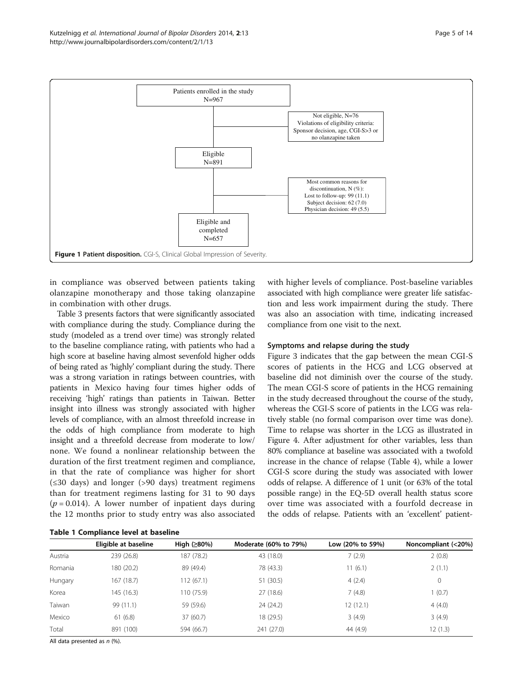<span id="page-4-0"></span>

in compliance was observed between patients taking olanzapine monotherapy and those taking olanzapine in combination with other drugs.

Table [3](#page-6-0) presents factors that were significantly associated with compliance during the study. Compliance during the study (modeled as a trend over time) was strongly related to the baseline compliance rating, with patients who had a high score at baseline having almost sevenfold higher odds of being rated as 'highly' compliant during the study. There was a strong variation in ratings between countries, with patients in Mexico having four times higher odds of receiving 'high' ratings than patients in Taiwan. Better insight into illness was strongly associated with higher levels of compliance, with an almost threefold increase in the odds of high compliance from moderate to high insight and a threefold decrease from moderate to low/ none. We found a nonlinear relationship between the duration of the first treatment regimen and compliance, in that the rate of compliance was higher for short (≤30 days) and longer (>90 days) treatment regimens than for treatment regimens lasting for 31 to 90 days  $(p = 0.014)$ . A lower number of inpatient days during the 12 months prior to study entry was also associated

| with higher levels of compliance. Post-baseline variables   |
|-------------------------------------------------------------|
| associated with high compliance were greater life satisfac- |
| tion and less work impairment during the study. There       |
| was also an association with time, indicating increased     |
| compliance from one visit to the next.                      |
|                                                             |

#### Symptoms and relapse during the study

Figure [3](#page-7-0) indicates that the gap between the mean CGI-S scores of patients in the HCG and LCG observed at baseline did not diminish over the course of the study. The mean CGI-S score of patients in the HCG remaining in the study decreased throughout the course of the study, whereas the CGI-S score of patients in the LCG was relatively stable (no formal comparison over time was done). Time to relapse was shorter in the LCG as illustrated in Figure [4](#page-7-0). After adjustment for other variables, less than 80% compliance at baseline was associated with a twofold increase in the chance of relapse (Table [4](#page-8-0)), while a lower CGI-S score during the study was associated with lower odds of relapse. A difference of 1 unit (or 63% of the total possible range) in the EQ-5D overall health status score over time was associated with a fourfold decrease in the odds of relapse. Patients with an 'excellent' patient-

|         | Eligible at baseline | High $(280%)$ | Moderate (60% to 79%) | Low (20% to 59%) | Noncompliant (<20%) |
|---------|----------------------|---------------|-----------------------|------------------|---------------------|
| Austria | 239 (26.8)           | 187 (78.2)    | 43 (18.0)             | 7(2.9)           | 2(0.8)              |
| Romania | 180 (20.2)           | 89 (49.4)     | 78 (43.3)             | 11(6.1)          | 2(1.1)              |
| Hungary | 167 (18.7)           | 112(67.1)     | 51 (30.5)             | 4(2.4)           | $\mathbf{0}$        |
| Korea   | 145 (16.3)           | 110 (75.9)    | 27 (18.6)             | 7(4.8)           | (0.7)               |
| Taiwan  | 99 (11.1)            | 59 (59.6)     | 24 (24.2)             | 12(12.1)         | 4(4.0)              |
| Mexico  | 61(6.8)              | 37 (60.7)     | 18 (29.5)             | 3(4.9)           | 3(4.9)              |
| Total   | 891 (100)            | 594 (66.7)    | 241 (27.0)            | 44 (4.9)         | 12(1.3)             |

All data presented as  $n$  (%).

Table 1 Compliance level at baseline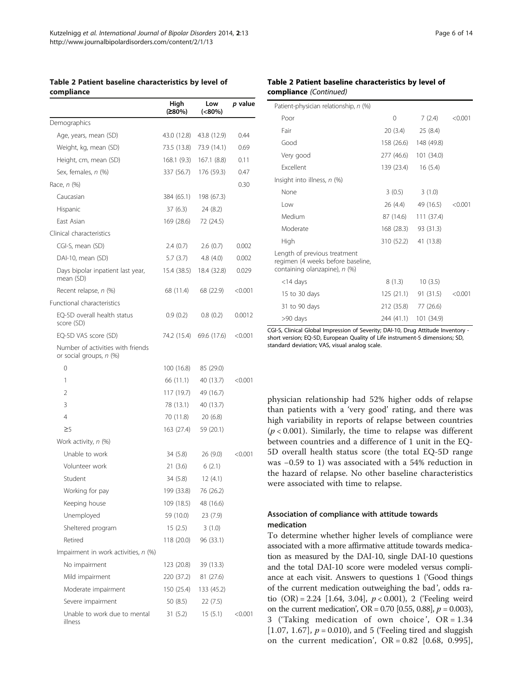<span id="page-5-0"></span>Table 2 Patient baseline characteristics by level of compliance

|                                                              | High<br>(≥80%) | Low<br>(<80%) | p value |
|--------------------------------------------------------------|----------------|---------------|---------|
| Demographics                                                 |                |               |         |
| Age, years, mean (SD)                                        | 43.0 (12.8)    | 43.8 (12.9)   | 0.44    |
| Weight, kg, mean (SD)                                        | 73.5 (13.8)    | 73.9 (14.1)   | 0.69    |
| Height, cm, mean (SD)                                        | 168.1(9.3)     | 167.1(8.8)    | 0.11    |
| Sex, females, n (%)                                          | 337 (56.7)     | 176 (59.3)    | 0.47    |
| Race, <i>n</i> (%)                                           |                |               | 0.30    |
| Caucasian                                                    | 384 (65.1)     | 198 (67.3)    |         |
| Hispanic                                                     | 37 (6.3)       | 24 (8.2)      |         |
| East Asian                                                   | 169 (28.6)     | 72 (24.5)     |         |
| Clinical characteristics                                     |                |               |         |
| CGI-S, mean (SD)                                             | 2.4(0.7)       | 2.6(0.7)      | 0.002   |
| DAI-10, mean (SD)                                            | 5.7(3.7)       | 4.8(4.0)      | 0.002   |
| Days bipolar inpatient last year,<br>mean (SD)               | 15.4 (38.5)    | 18.4 (32.8)   | 0.029   |
| Recent relapse, n (%)                                        | 68 (11.4)      | 68 (22.9)     | < 0.001 |
| Functional characteristics                                   |                |               |         |
| EQ-5D overall health status<br>score (SD)                    | 0.9(0.2)       | 0.8(0.2)      | 0.0012  |
| EQ-5D VAS score (SD)                                         | 74.2 (15.4)    | 69.6 (17.6)   | < 0.001 |
| Number of activities with friends<br>or social groups, n (%) |                |               |         |
| 0                                                            | 100 (16.8)     | 85 (29.0)     |         |
| 1                                                            | 66 (11.1)      | 40 (13.7)     | < 0.001 |
| 2                                                            | 117 (19.7)     | 49 (16.7)     |         |
| 3                                                            | 78 (13.1)      | 40 (13.7)     |         |
| 4                                                            | 70 (11.8)      | 20(6.8)       |         |
| $\geq$ 5                                                     | 163 (27.4)     | 59 (20.1)     |         |
| Work activity, n (%)                                         |                |               |         |
| Unable to work                                               | 34 (5.8)       | 26 (9.0)      | < 0.001 |
| Volunteer work                                               | 21(3.6)        | 6(2.1)        |         |
| Student                                                      | 34 (5.8)       | 12(4.1)       |         |
| Working for pay                                              | 199 (33.8)     | 76 (26.2)     |         |
| Keeping house                                                | 109 (18.5)     | 48 (16.6)     |         |
| Unemployed                                                   | 59 (10.0)      | 23(7.9)       |         |
| Sheltered program                                            | 15(2.5)        | 3(1.0)        |         |
| Retired                                                      | 118 (20.0)     | 96 (33.1)     |         |
| Impairment in work activities, n (%)                         |                |               |         |
| No impairment                                                | 123 (20.8)     | 39 (13.3)     |         |
| Mild impairment                                              | 220 (37.2)     | 81 (27.6)     |         |
| Moderate impairment                                          | 150 (25.4)     | 133 (45.2)    |         |
| Severe impairment                                            | 50 (8.5)       | 22(7.5)       |         |
| Unable to work due to mental<br>illness                      | 31(5.2)        | 15(5.1)       | < 0.001 |

#### Table 2 Patient baseline characteristics by level of compliance (Continued)

| Patient-physician relationship, n (%)                                                              |            |            |         |
|----------------------------------------------------------------------------------------------------|------------|------------|---------|
| Poor                                                                                               | 0          | 7(2.4)     | < 0.001 |
| Fair                                                                                               | 20 (3.4)   | 25(8.4)    |         |
| Good                                                                                               | 158 (26.6) | 148 (49.8) |         |
| Very good                                                                                          | 277 (46.6) | 101 (34.0) |         |
| <b>Fxcellent</b>                                                                                   | 139 (23.4) | 16(5.4)    |         |
| Insight into illness, $n$ (%)                                                                      |            |            |         |
| None                                                                                               | 3(0.5)     | 3(1.0)     |         |
| l ow                                                                                               | 26 (4.4)   | 49 (16.5)  | < 0.001 |
| Medium                                                                                             | 87 (14.6)  | 111(37.4)  |         |
| Moderate                                                                                           | 168 (28.3) | 93 (31.3)  |         |
| High                                                                                               | 310 (52.2) | 41 (13.8)  |         |
| Length of previous treatment<br>regimen (4 weeks before baseline,<br>containing olanzapine), n (%) |            |            |         |
| $<$ 14 days                                                                                        | 8 (1.3)    | 10(3.5)    |         |
| 15 to 30 days                                                                                      | 125 (21.1) | 91 (31.5)  | < 0.001 |
| 31 to 90 days                                                                                      | 212 (35.8) | 77 (26.6)  |         |
| >90 days                                                                                           | 244 (41.1) | 101 (34.9) |         |

CGI-S, Clinical Global Impression of Severity; DAI-10, Drug Attitude Inventory short version; EQ-5D, European Quality of Life instrument-5 dimensions; SD, standard deviation; VAS, visual analog scale.

physician relationship had 52% higher odds of relapse than patients with a 'very good' rating, and there was high variability in reports of relapse between countries  $(p < 0.001)$ . Similarly, the time to relapse was different between countries and a difference of 1 unit in the EQ-5D overall health status score (the total EQ-5D range was −0.59 to 1) was associated with a 54% reduction in the hazard of relapse. No other baseline characteristics were associated with time to relapse.

# Association of compliance with attitude towards medication

To determine whether higher levels of compliance were associated with a more affirmative attitude towards medication as measured by the DAI-10, single DAI-10 questions and the total DAI-10 score were modeled versus compliance at each visit. Answers to questions 1 ('Good things of the current medication outweighing the bad ', odds ratio  $(OR) = 2.24$  [1.64, 3.04],  $p < 0.001$ ), 2 ('Feeling weird on the current medication', OR =  $0.70$  [0.55, 0.88],  $p = 0.003$ ), 3 ('Taking medication of own choice ', OR = 1.34 [1.07, 1.67],  $p = 0.010$ ), and 5 ('Feeling tired and sluggish on the current medication',  $OR = 0.82$  [0.68, 0.995],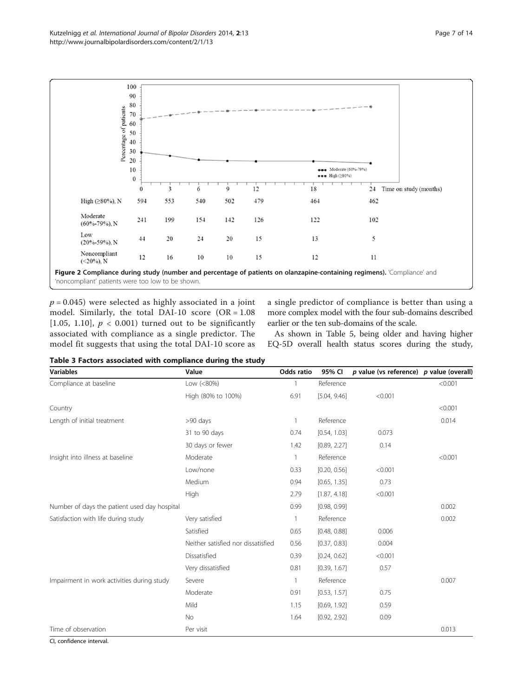<span id="page-6-0"></span>

'noncompliant' patients were too low to be shown.

 $p = 0.045$ ) were selected as highly associated in a joint model. Similarly, the total DAI-10 score ( $OR = 1.08$ ) [1.05, 1.10],  $p < 0.001$ ) turned out to be significantly associated with compliance as a single predictor. The model fit suggests that using the total DAI-10 score as

a single predictor of compliance is better than using a more complex model with the four sub-domains described earlier or the ten sub-domains of the scale.

As shown in Table [5,](#page-8-0) being older and having higher EQ-5D overall health status scores during the study,

#### Table 3 Factors associated with compliance during the study

Variables Value Odds ratio 95% CI p value (vs reference) p value (overall) Compliance at baseline  $\sim$  Low (<80%) 1 Reference 20.001 High (80% to 100%) 6.91 [5.04, 9.46] <0.001 Country <0.001 Length of initial treatment  $>90$  days 1 Reference 0.014 31 to 90 days 0.74 [0.54, 1.03] 0.073 30 days or fewer 1.42 [0.89, 2.27] 0.14 Insight into illness at baseline Moderate 1 Reference <0.001 Low/none 0.33 [0.20, 0.56] <0.001 Medium 0.94 [0.65, 1.35] 0.73 High 2.79 [1.87, 4.18] <0.001 Number of days the patient used day hospital 0.99 0.99 [0.98, 0.99] 0.98, 0.99] 0.002 Satisfaction with life during study Very satisfied 1 Reference 1 Reference 0.002 Satisfied 0.65 [0.48, 0.88] 0.006 Neither satisfied nor dissatisfied 0.56 [0.37, 0.83] 0.004 Dissatisfied 0.39 [0.24, 0.62] <0.001 Very dissatisfied 0.81 [0.39, 1.67] 0.57 Impairment in work activities during study Severe 1 1 Reference 1 Reference 0.007 Moderate 0.91 [0.53, 1.57] 0.75 Mild 1.15 [0.69, 1.92] 0.59 No 1.64 [0.92, 2.92] 0.09 Time of observation and the perturbation of the Perturbation Perturbation Perturbation of the Perturbation of the Perturbation of the Perturbation of the Perturbation of the Perturbation of the Perturbation of the Perturba

CI, confidence interval.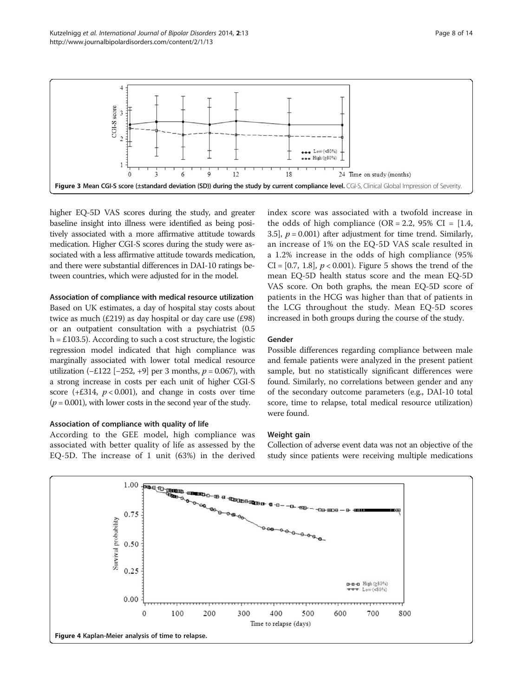<span id="page-7-0"></span>

higher EQ-5D VAS scores during the study, and greater baseline insight into illness were identified as being positively associated with a more affirmative attitude towards medication. Higher CGI-S scores during the study were associated with a less affirmative attitude towards medication, and there were substantial differences in DAI-10 ratings between countries, which were adjusted for in the model.

Association of compliance with medical resource utilization

Based on UK estimates, a day of hospital stay costs about twice as much  $(E219)$  as day hospital or day care use  $(E98)$ or an outpatient consultation with a psychiatrist (0.5  $h = \text{\textsterling}103.5$ ). According to such a cost structure, the logistic regression model indicated that high compliance was marginally associated with lower total medical resource utilization (−£122 [−252, +9] per 3 months,  $p = 0.067$ ), with a strong increase in costs per each unit of higher CGI-S score ( $\pm 214$ ,  $p < 0.001$ ), and change in costs over time  $(p = 0.001)$ , with lower costs in the second year of the study.

#### Association of compliance with quality of life

According to the GEE model, high compliance was associated with better quality of life as assessed by the EQ-5D. The increase of 1 unit (63%) in the derived index score was associated with a twofold increase in the odds of high compliance  $(OR = 2.2, 95\% \text{ CI} = [1.4,$ 3.5],  $p = 0.001$  after adjustment for time trend. Similarly, an increase of 1% on the EQ-5D VAS scale resulted in a 1.2% increase in the odds of high compliance (95%  $CI = [0.7, 1.8], p < 0.001$ . Figure [5](#page-9-0) shows the trend of the mean EQ-5D health status score and the mean EQ-5D VAS score. On both graphs, the mean EQ-5D score of patients in the HCG was higher than that of patients in the LCG throughout the study. Mean EQ-5D scores increased in both groups during the course of the study.

## Gender

Possible differences regarding compliance between male and female patients were analyzed in the present patient sample, but no statistically significant differences were found. Similarly, no correlations between gender and any of the secondary outcome parameters (e.g., DAI-10 total score, time to relapse, total medical resource utilization) were found.

#### Weight gain

Collection of adverse event data was not an objective of the study since patients were receiving multiple medications

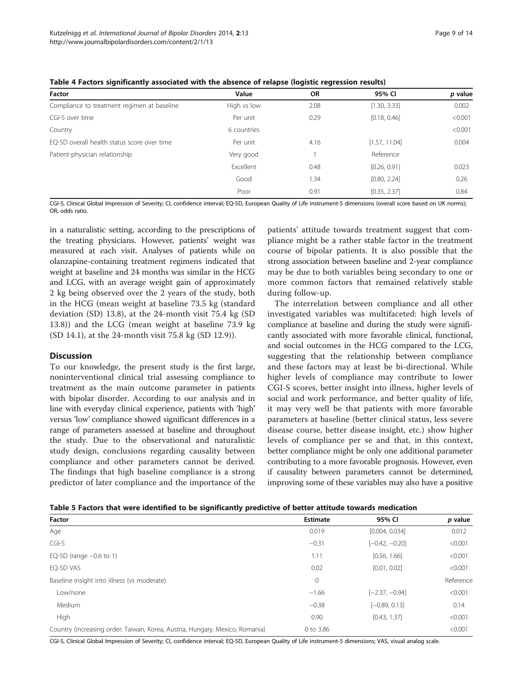| Factor                                      | Value       | <b>OR</b> | 95% CI        | p value |
|---------------------------------------------|-------------|-----------|---------------|---------|
| Compliance to treatment regimen at baseline | High vs low | 2.08      | [1.30, 3.33]  | 0.002   |
| CGI-S over time                             | Per unit    | 0.29      | [0.18, 0.46]  | < 0.001 |
| Country                                     | 6 countries |           |               | < 0.001 |
| EQ-5D overall health status score over time | Per unit    | 4.16      | [1.57, 11.04] | 0.004   |
| Patient-physician relationship              | Very good   |           | Reference     |         |
|                                             | Excellent   | 0.48      | [0.26, 0.91]  | 0.023   |
|                                             | Good        | 1.34      | [0.80, 2.24]  | 0.26    |
|                                             | Poor        | 0.91      | [0.35, 2.37]  | 0.84    |

<span id="page-8-0"></span>Table 4 Factors significantly associated with the absence of relapse (logistic regression results)

CGI-S, Clinical Global Impression of Severity; CI, confidence interval; EQ-5D, European Quality of Life instrument-5 dimensions (overall score based on UK norms); OR, odds ratio.

in a naturalistic setting, according to the prescriptions of the treating physicians. However, patients' weight was measured at each visit. Analyses of patients while on olanzapine-containing treatment regimens indicated that weight at baseline and 24 months was similar in the HCG and LCG, with an average weight gain of approximately 2 kg being observed over the 2 years of the study, both in the HCG (mean weight at baseline 73.5 kg (standard deviation (SD) 13.8), at the 24-month visit 75.4 kg (SD 13.8)) and the LCG (mean weight at baseline 73.9 kg (SD 14.1), at the 24-month visit 75.8 kg (SD 12.9)).

#### **Discussion**

To our knowledge, the present study is the first large, noninterventional clinical trial assessing compliance to treatment as the main outcome parameter in patients with bipolar disorder. According to our analysis and in line with everyday clinical experience, patients with 'high' versus 'low' compliance showed significant differences in a range of parameters assessed at baseline and throughout the study. Due to the observational and naturalistic study design, conclusions regarding causality between compliance and other parameters cannot be derived. The findings that high baseline compliance is a strong predictor of later compliance and the importance of the

patients' attitude towards treatment suggest that compliance might be a rather stable factor in the treatment course of bipolar patients. It is also possible that the strong association between baseline and 2-year compliance may be due to both variables being secondary to one or more common factors that remained relatively stable during follow-up.

The interrelation between compliance and all other investigated variables was multifaceted: high levels of compliance at baseline and during the study were significantly associated with more favorable clinical, functional, and social outcomes in the HCG compared to the LCG, suggesting that the relationship between compliance and these factors may at least be bi-directional. While higher levels of compliance may contribute to lower CGI-S scores, better insight into illness, higher levels of social and work performance, and better quality of life, it may very well be that patients with more favorable parameters at baseline (better clinical status, less severe disease course, better disease insight, etc.) show higher levels of compliance per se and that, in this context, better compliance might be only one additional parameter contributing to a more favorable prognosis. However, even if causality between parameters cannot be determined, improving some of these variables may also have a positive

| Table 5 Factors that were identified to be significantly predictive of better attitude towards medication |  |
|-----------------------------------------------------------------------------------------------------------|--|
|-----------------------------------------------------------------------------------------------------------|--|

| Factor                                                                       | <b>Estimate</b> | 95% CI           | p value   |
|------------------------------------------------------------------------------|-----------------|------------------|-----------|
| Age                                                                          | 0.019           | [0.004, 0.034]   | 0.012     |
| $CGI-S$                                                                      | $-0.31$         | $[-0.42, -0.20]$ | < 0.001   |
| EQ-5D (range $-0.6$ to 1)                                                    | 1.11            | [0.56, 1.66]     | < 0.001   |
| EQ-5D VAS                                                                    | 0.02            | [0.01, 0.02]     | < 0.001   |
| Baseline insight into illness (vs moderate)                                  | $\mathbf{0}$    |                  | Reference |
| Low/none                                                                     | $-1.66$         | $[-2.37, -0.94]$ | < 0.001   |
| Medium                                                                       | $-0.38$         | $[-0.89, 0.13]$  | 0.14      |
| High                                                                         | 0.90            | [0.43, 1.37]     | < 0.001   |
| Country (increasing order: Taiwan, Korea, Austria, Hungary, Mexico, Romania) | 0 to 3.86       |                  | < 0.001   |

CGI-S, Clinical Global Impression of Severity; CI, confidence interval; EQ-5D, European Quality of Life instrument-5 dimensions; VAS, visual analog scale.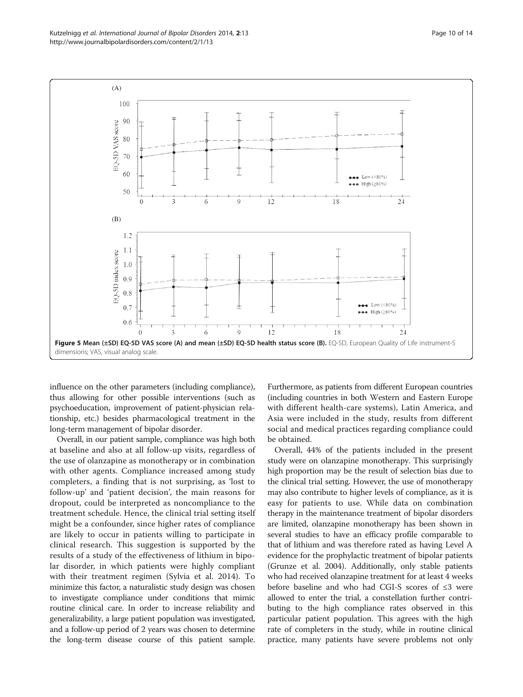<span id="page-9-0"></span>Kutzelnigg et al. International Journal of Bipolar Disorders 2014, 2:13 Page 10 of 14 http://www.journalbipolardisorders.com/content/2/1/13



influence on the other parameters (including compliance), thus allowing for other possible interventions (such as psychoeducation, improvement of patient-physician relationship, etc.) besides pharmacological treatment in the long-term management of bipolar disorder.

Overall, in our patient sample, compliance was high both at baseline and also at all follow-up visits, regardless of the use of olanzapine as monotherapy or in combination with other agents. Compliance increased among study completers, a finding that is not surprising, as 'lost to follow-up' and 'patient decision', the main reasons for dropout, could be interpreted as noncompliance to the treatment schedule. Hence, the clinical trial setting itself might be a confounder, since higher rates of compliance are likely to occur in patients willing to participate in clinical research. This suggestion is supported by the results of a study of the effectiveness of lithium in bipolar disorder, in which patients were highly compliant with their treatment regimen [\(Sylvia et al. 2014](#page-12-0)). To minimize this factor, a naturalistic study design was chosen to investigate compliance under conditions that mimic routine clinical care. In order to increase reliability and generalizability, a large patient population was investigated, and a follow-up period of 2 years was chosen to determine the long-term disease course of this patient sample.

Furthermore, as patients from different European countries (including countries in both Western and Eastern Europe with different health-care systems), Latin America, and Asia were included in the study, results from different social and medical practices regarding compliance could be obtained.

Overall, 44% of the patients included in the present study were on olanzapine monotherapy. This surprisingly high proportion may be the result of selection bias due to the clinical trial setting. However, the use of monotherapy may also contribute to higher levels of compliance, as it is easy for patients to use. While data on combination therapy in the maintenance treatment of bipolar disorders are limited, olanzapine monotherapy has been shown in several studies to have an efficacy profile comparable to that of lithium and was therefore rated as having Level A evidence for the prophylactic treatment of bipolar patients (Grunze et al. [2004](#page-12-0)). Additionally, only stable patients who had received olanzapine treatment for at least 4 weeks before baseline and who had CGI-S scores of ≤3 were allowed to enter the trial, a constellation further contributing to the high compliance rates observed in this particular patient population. This agrees with the high rate of completers in the study, while in routine clinical practice, many patients have severe problems not only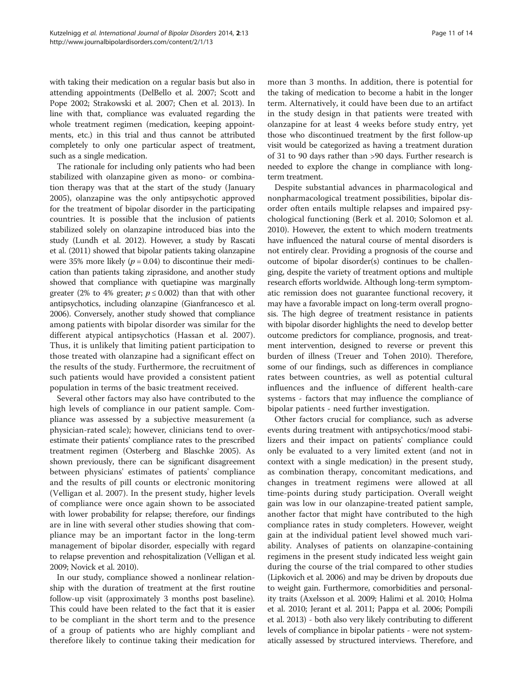with taking their medication on a regular basis but also in attending appointments (DelBello et al. [2007](#page-12-0); Scott and Pope [2002;](#page-12-0) Strakowski et al. [2007](#page-12-0); Chen et al. [2013\)](#page-12-0). In line with that, compliance was evaluated regarding the whole treatment regimen (medication, keeping appointments, etc.) in this trial and thus cannot be attributed completely to only one particular aspect of treatment, such as a single medication.

The rationale for including only patients who had been stabilized with olanzapine given as mono- or combination therapy was that at the start of the study (January 2005), olanzapine was the only antipsychotic approved for the treatment of bipolar disorder in the participating countries. It is possible that the inclusion of patients stabilized solely on olanzapine introduced bias into the study (Lundh et al. [2012](#page-12-0)). However, a study by Rascati et al. [\(2011](#page-12-0)) showed that bipolar patients taking olanzapine were 35% more likely ( $p = 0.04$ ) to discontinue their medication than patients taking ziprasidone, and another study showed that compliance with quetiapine was marginally greater (2% to 4% greater;  $p \le 0.002$ ) than that with other antipsychotics, including olanzapine (Gianfrancesco et al. [2006\)](#page-12-0). Conversely, another study showed that compliance among patients with bipolar disorder was similar for the different atypical antipsychotics (Hassan et al. [2007](#page-12-0)). Thus, it is unlikely that limiting patient participation to those treated with olanzapine had a significant effect on the results of the study. Furthermore, the recruitment of such patients would have provided a consistent patient population in terms of the basic treatment received.

Several other factors may also have contributed to the high levels of compliance in our patient sample. Compliance was assessed by a subjective measurement (a physician-rated scale); however, clinicians tend to overestimate their patients' compliance rates to the prescribed treatment regimen (Osterberg and Blaschke [2005\)](#page-12-0). As shown previously, there can be significant disagreement between physicians' estimates of patients' compliance and the results of pill counts or electronic monitoring (Velligan et al. [2007](#page-13-0)). In the present study, higher levels of compliance were once again shown to be associated with lower probability for relapse; therefore, our findings are in line with several other studies showing that compliance may be an important factor in the long-term management of bipolar disorder, especially with regard to relapse prevention and rehospitalization (Velligan et al. [2009;](#page-13-0) Novick et al. [2010\)](#page-12-0).

In our study, compliance showed a nonlinear relationship with the duration of treatment at the first routine follow-up visit (approximately 3 months post baseline). This could have been related to the fact that it is easier to be compliant in the short term and to the presence of a group of patients who are highly compliant and therefore likely to continue taking their medication for more than 3 months. In addition, there is potential for the taking of medication to become a habit in the longer term. Alternatively, it could have been due to an artifact in the study design in that patients were treated with olanzapine for at least 4 weeks before study entry, yet those who discontinued treatment by the first follow-up visit would be categorized as having a treatment duration of 31 to 90 days rather than >90 days. Further research is needed to explore the change in compliance with longterm treatment.

Despite substantial advances in pharmacological and nonpharmacological treatment possibilities, bipolar disorder often entails multiple relapses and impaired psychological functioning (Berk et al. [2010;](#page-12-0) Solomon et al. [2010](#page-12-0)). However, the extent to which modern treatments have influenced the natural course of mental disorders is not entirely clear. Providing a prognosis of the course and outcome of bipolar disorder(s) continues to be challenging, despite the variety of treatment options and multiple research efforts worldwide. Although long-term symptomatic remission does not guarantee functional recovery, it may have a favorable impact on long-term overall prognosis. The high degree of treatment resistance in patients with bipolar disorder highlights the need to develop better outcome predictors for compliance, prognosis, and treatment intervention, designed to reverse or prevent this burden of illness (Treuer and Tohen [2010\)](#page-13-0). Therefore, some of our findings, such as differences in compliance rates between countries, as well as potential cultural influences and the influence of different health-care systems - factors that may influence the compliance of bipolar patients - need further investigation.

Other factors crucial for compliance, such as adverse events during treatment with antipsychotics/mood stabilizers and their impact on patients' compliance could only be evaluated to a very limited extent (and not in context with a single medication) in the present study, as combination therapy, concomitant medications, and changes in treatment regimens were allowed at all time-points during study participation. Overall weight gain was low in our olanzapine-treated patient sample, another factor that might have contributed to the high compliance rates in study completers. However, weight gain at the individual patient level showed much variability. Analyses of patients on olanzapine-containing regimens in the present study indicated less weight gain during the course of the trial compared to other studies (Lipkovich et al. [2006\)](#page-12-0) and may be driven by dropouts due to weight gain. Furthermore, comorbidities and personality traits (Axelsson et al. [2009;](#page-12-0) Halimi et al. [2010;](#page-12-0) Holma et al. [2010;](#page-12-0) Jerant et al. [2011](#page-12-0); Pappa et al. [2006;](#page-12-0) Pompili et al. [2013\)](#page-12-0) - both also very likely contributing to different levels of compliance in bipolar patients - were not systematically assessed by structured interviews. Therefore, and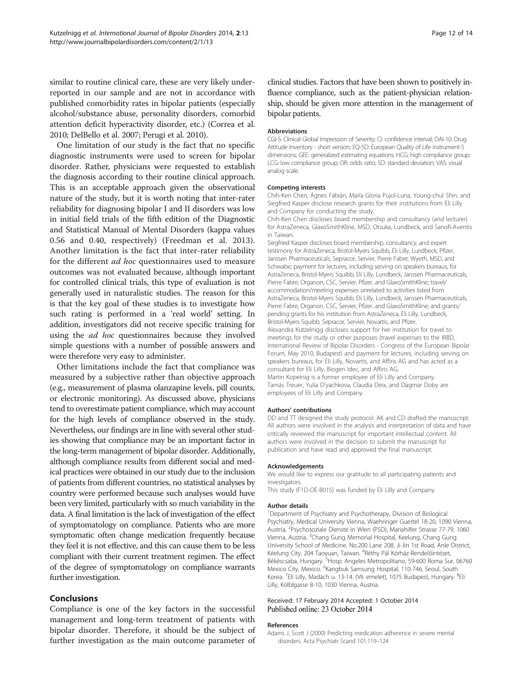<span id="page-11-0"></span>similar to routine clinical care, these are very likely underreported in our sample and are not in accordance with published comorbidity rates in bipolar patients (especially alcohol/substance abuse, personality disorders, comorbid attention deficit hyperactivity disorder, etc.) (Correa et al. [2010;](#page-12-0) DelBello et al. [2007;](#page-12-0) Perugi et al. [2010\)](#page-12-0).

One limitation of our study is the fact that no specific diagnostic instruments were used to screen for bipolar disorder. Rather, physicians were requested to establish the diagnosis according to their routine clinical approach. This is an acceptable approach given the observational nature of the study, but it is worth noting that inter-rater reliability for diagnosing bipolar I and II disorders was low in initial field trials of the fifth edition of the Diagnostic and Statistical Manual of Mental Disorders (kappa values 0.56 and 0.40, respectively) (Freedman et al. [2013](#page-12-0)). Another limitation is the fact that inter-rater reliability for the different ad hoc questionnaires used to measure outcomes was not evaluated because, although important for controlled clinical trials, this type of evaluation is not generally used in naturalistic studies. The reason for this is that the key goal of these studies is to investigate how such rating is performed in a 'real world' setting. In addition, investigators did not receive specific training for using the *ad hoc* questionnaires because they involved simple questions with a number of possible answers and were therefore very easy to administer.

Other limitations include the fact that compliance was measured by a subjective rather than objective approach (e.g., measurement of plasma olanzapine levels, pill counts, or electronic monitoring). As discussed above, physicians tend to overestimate patient compliance, which may account for the high levels of compliance observed in the study. Nevertheless, our findings are in line with several other studies showing that compliance may be an important factor in the long-term management of bipolar disorder. Additionally, although compliance results from different social and medical practices were obtained in our study due to the inclusion of patients from different countries, no statistical analyses by country were performed because such analyses would have been very limited, particularly with so much variability in the data. A final limitation is the lack of investigation of the effect of symptomatology on compliance. Patients who are more symptomatic often change medication frequently because they feel it is not effective, and this can cause them to be less compliant with their current treatment regimen. The effect of the degree of symptomatology on compliance warrants further investigation.

#### Conclusions

Compliance is one of the key factors in the successful management and long-term treatment of patients with bipolar disorder. Therefore, it should be the subject of further investigation as the main outcome parameter of clinical studies. Factors that have been shown to positively influence compliance, such as the patient-physician relationship, should be given more attention in the management of bipolar patients.

#### Abbreviations

CGI-S: Clinical Global Impression of Severity; CI: confidence interval; DAI-10: Drug Attitude Inventory - short version; EQ-5D: European Quality of Life instrument-5 dimensions; GEE: generalized estimating equations; HCG: high compliance group; LCG: low compliance group; OR: odds ratio; SD: standard deviation; VAS: visual analog scale.

#### Competing interests

Chih-Ken Chen, Ágnes Fábián, María Gloria Pujol-Luna, Young-chul Shin, and Siegfried Kasper disclose research grants for their institutions from Eli Lilly and Company for conducting the study.

Chih-Ken Chen discloses board membership and consultancy (and lecturer) for AstraZeneca, GlaxoSmithKline, MSD, Otsuka, Lundbeck, and Sanofi-Aventis in Taiwan.

Siegfried Kasper discloses board membership, consultancy, and expert testimony for AstraZeneca, Bristol-Myers Squibb, Eli Lilly, Lundbeck, Pfizer, Janssen Pharmaceuticals, Sepracor, Servier, Pierre Fabre, Wyeth, MSD, and Schwabe; payment for lectures, including serving on speakers bureaus, for AstraZeneca, Bristol-Myers Squibb, Eli Lilly, Lundbeck, Janssen Pharmaceuticals, Pierre Fabre, Organon, CSC, Servier, Pfizer, and GlaxoSmithKline; travel/ accommodation/meeting expenses unrelated to activities listed from AstraZeneca, Bristol-Myers Squibb, Eli Lilly, Lundbeck, Janssen Pharmaceuticals, Pierre Fabre, Organon, CSC, Servier, Pfizer, and GlaxoSmithKline; and grants/ pending grants for his institution from AstraZeneca, Eli Lilly, Lundbeck, Bristol-Myers Squibb, Sepracor, Servier, Novartis, and Pfizer. Alexandra Kutzelnigg discloses support for her institution for travel to meetings for the study or other purposes (travel expenses to the IRBD, International Review of Bipolar Disorders - Congress of the European Bipolar Forum, May 2010, Budapest) and payment for lectures, including serving on speakers bureaus, for Eli Lilly, Novartis, and Affiris AG and has acted as a consultant for Eli Lilly, Biogen Idec, and Affiris AG. Martin Kopeinig is a former employee of Eli Lilly and Company. Tamás Treuer, Yulia D'yachkova, Claudia Deix, and Dagmar Doby are employees of Eli Lilly and Company.

#### Authors' contributions

DD and TT designed the study protocol. AK and CD drafted the manuscript. All authors were involved in the analysis and interpretation of data and have critically reviewed the manuscript for important intellectual content. All authors were involved in the decision to submit the manuscript for publication and have read and approved the final manuscript.

#### Acknowledgements

We would like to express our gratitude to all participating patients and investigators

This study (F1D-OE-B015) was funded by Eli Lilly and Company.

#### Author details

<sup>1</sup>Department of Psychiatry and Psychotherapy, Division of Biological Psychiatry, Medical University Vienna, Waehringer Guertel 18-20, 1090 Vienna, Austria. <sup>2</sup>Psychosoziale Dienste in Wien (PSD), Mariahilfer Strasse 77-79, 1060 Vienna, Austria. <sup>3</sup>Chang Gung Memorial Hospital, Keelung, Chang Gung University School of Medicine, No.200 Lane 208, Ji-Jin 1st Road, Anle District, Keelung City, 204 Taoyuan, Taiwan. <sup>4</sup>Réthy Pál Kórház-Rendelőintézet, Békéscsaba, Hungary. <sup>5</sup>Hosp. Angeles Metropolitano, 59-600 Roma Sur, 06760 Mexico City, Mexico. <sup>6</sup>Kangbuk Samsung Hospital, 110-746, Seoul, South Korea. <sup>7</sup>Eli Lilly, Madách u. 13-14. (VII. emelet), 1075 Budapest, Hungary. <sup>8</sup>Eli Lilly, Kölblgasse 8-10, 1030 Vienna, Austria.

#### Received: 17 February 2014 Accepted: 1 October 2014 Published online: 23 October 2014

#### References

Adams J, Scott J (2000) Predicting medication adherence in severe mental disorders. Acta Psychiatr Scand 101:119–124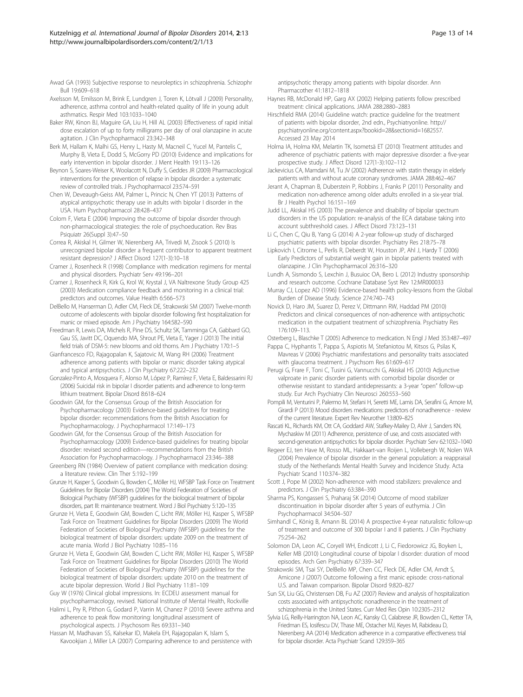- <span id="page-12-0"></span>Awad GA (1993) Subjective response to neuroleptics in schizophrenia. Schizophr Bull 19:609–618
- Axelsson M, Emilsson M, Brink E, Lundgren J, Toren K, Lötvall J (2009) Personality, adherence, asthma control and health-related quality of life in young adult asthmatics. Respir Med 103:1033–1040
- Baker RW, Kinon BJ, Maguire GA, Liu H, Hill AL (2003) Effectiveness of rapid initial dose escalation of up to forty milligrams per day of oral olanzapine in acute agitation. J Clin Psychopharmacol 23:342–348
- Berk M, Hallam K, Malhi GS, Henry L, Hasty M, Macneil C, Yucel M, Pantelis C, Murphy B, Vieta E, Dodd S, McGorry PD (2010) Evidence and implications for early intervention in bipolar disorder. J Ment Health 19:113–126
- Beynon S, Soares-Weiser K, Woolacott N, Duffy S, Geddes JR (2009) Pharmacological interventions for the prevention of relapse in bipolar disorder: a systematic review of controlled trials. J Psychopharmacol 23:574–591
- Chen W, Deveaugh-Geiss AM, Palmer L, Princic N, Chen YT (2013) Patterns of atypical antipsychotic therapy use in adults with bipolar I disorder in the USA. Hum Psychopharmacol 28:428–437
- Colom F, Vieta E (2004) Improving the outcome of bipolar disorder through non-pharmacological strategies: the role of psychoeducation. Rev Bras Psiquiatr 26(Suppl 3):47-50
- Correa R, Akiskal H, Gilmer W, Nierenberg AA, Trivedi M, Zisook S (2010) Is unrecognized bipolar disorder a frequent contributor to apparent treatment resistant depression? J Affect Disord 127(1-3):10–18
- Cramer J, Rosenheck R (1998) Compliance with medication regimens for mental and physical disorders. Psychiatr Serv 49:196–201
- Cramer J, Rosenheck R, Kirk G, Krol W, Krystal J, VA Naltrexone Study Group 425 (2003) Medication compliance feedback and monitoring in a clinical trial: predictors and outcomes. Value Health 6:566–573
- DelBello M, Hanserman D, Adler CM, Fleck DE, Strakowski SM (2007) Twelve-month outcome of adolescents with bipolar disorder following first hospitalization for manic or mixed episode. Am J Psychiatry 164:582–590
- Freedman R, Lewis DA, Michels R, Pine DS, Schultz SK, Tamminga CA, Gabbard GO, Gau SS, Javitt DC, Oquendo MA, Shrout PE, Vieta E, Yager J (2013) The initial field trials of DSM-5: new blooms and old thorns. Am J Psychiatry 170:1–5
- Gianfrancesco FD, Rajagopalan K, Sajatovic M, Wang RH (2006) Treatment adherence among patients with bipolar or manic disorder taking atypical and typical antipsychotics. J Clin Psychiatry 67:222–232
- Gonzalez-Pinto A, Mosquera F, Alonso M, López P, Ramírez F, Vieta E, Baldessarini RJ (2006) Suicidal risk in bipolar I disorder patients and adherence to long-term lithium treatment. Bipolar Disord 8:618–624
- Goodwin GM, for the Consensus Group of the British Association for Psychopharmacology (2003) Evidence-based guidelines for treating bipolar disorder: recommendations from the British Association for Psychopharmacology. J Psychopharmacol 17:149–173
- Goodwin GM, for the Consensus Group of the British Association for Psychopharmacology (2009) Evidence-based guidelines for treating bipolar disorder: revised second edition—recommendations from the British Association for Psychopharmacology. J Psychopharmacol 23:346–388
- Greenberg RN (1984) Overview of patient compliance with medication dosing: a literature review. Clin Ther 5:192–199
- Grunze H, Kasper S, Goodwin G, Bowden C, Möller HJ, WFSBP Task Force on Treatment Guidelines for Bipolar Disorders (2004) The World Federation of Societies of Biological Psychiatry (WFSBP) guidelines for the biological treatment of bipolar disorders, part III: maintenance treatment. Word J Biol Psychiatry 5:120–135
- Grunze H, Vieta E, Goodwin GM, Bowden C, Licht RW, Möller HJ, Kasper S, WFSBP Task Force on Treatment Guidelines for Bipolar Disorders (2009) The World Federation of Societies of Biological Psychiatry (WFSBP) guidelines for the biological treatment of bipolar disorders: update 2009 on the treatment of acute mania. World J Biol Psychiatry 10:85–116
- Grunze H, Vieta E, Goodwin GM, Bowden C, Licht RW, Möller HJ, Kasper S, WFSBP Task Force on Treatment Guidelines for Bipolar Disorders (2010) The World Federation of Societies of Biological Psychiatry (WFSBP) guidelines for the biological treatment of bipolar disorders: update 2010 on the treatment of acute bipolar depression. World J Biol Psychiatry 11:81–109
- Guy W (1976) Clinical global impressions. In: ECDEU assessment manual for psychopharmacology, revised. National Institute of Mental Health, Rockville
- Halimi L, Pry R, Pithon G, Godard P, Varrin M, Chanez P (2010) Severe asthma and adherence to peak flow monitoring: longitudinal assessment of psychological aspects. J Psychosom Res 69:331–340
- Hassan M, Madhavan SS, Kalsekar ID, Makela EH, Rajagopalan K, Islam S, Kavookjian J, Miller LA (2007) Comparing adherence to and persistence with

antipsychotic therapy among patients with bipolar disorder. Ann Pharmacother 41:1812–1818

- Haynes RB, McDonald HP, Garg AX (2002) Helping patients follow prescribed treatment: clinical applications. JAMA 288:2880–2883
- Hirschfield RMA (2014) Guideline watch: practice guideline for the treatment of patients with bipolar disorder, 2nd edn., Psychiatryonline. [http://](http://psychiatryonline.org/content.aspx?bookid=28§ionid=1682557) [psychiatryonline.org/content.aspx?bookid=28&sectionid=1682557.](http://psychiatryonline.org/content.aspx?bookid=28§ionid=1682557) Accessed 23 May 2014
- Holma IA, Holma KM, Melartin TK, Isometsä ET (2010) Treatment attitudes and adherence of psychiatric patients with major depressive disorder: a five-year prospective study. J Affect Disord 127(1-3):102–112
- Jackevicius CA, Mamdani M, Tu JV (2002) Adherence with statin therapy in elderly patients with and without acute coronary syndromes. JAMA 288:462–467
- Jerant A, Chapman B, Duberstein P, Robbins J, Franks P (2011) Personality and medication non-adherence among older adults enrolled in a six-year trial. Br J Health Psychol 16:151–169
- Judd LL, Akiskal HS (2003) The prevalence and disability of bipolar spectrum disorders in the US population: re-analysis of the ECA database taking into account subthreshold cases. J Affect Disord 73:123–131
- Li C, Chen C, Qiu B, Yang G (2014) A 2-year follow-up study of discharged psychiatric patients with bipolar disorder. Psychiatry Res 218:75–78
- Lipkovich I, Citrome L, Perlis R, Deberdt W, Houston JP, Ahl J, Hardy T (2006) Early Predictors of substantial weight gain in bipolar patients treated with olanzapine. J Clin Psychopharmacol 26:316–320
- Lundh A, Sismondo S, Lexchin J, Busuioc OA, Bero L (2012) Industry sponsorship and research outcome. Cochrane Database Syst Rev 12:MR000033
- Murray CJ, Lopez AD (1996) Evidence-based health policy-lessons from the Global Burden of Disease Study. Science 274:740–743
- Novick D, Haro JM, Suarez D, Perez V, Dittmann RW, Haddad PM (2010) Predictors and clinical consequences of non-adherence with antipsychotic medication in the outpatient treatment of schizophrenia. Psychiatry Res 176:109–113.
- Osterberg L, Blaschke T (2005) Adherence to medication. N Engl J Med 353:487–497
- Pappa C, Hyphantis T, Pappa S, Aspiotis M, Stefaniotou M, Kitsos G, Psilas K, Mavreas V (2006) Psychiatric manifestations and personality traits associated with glaucoma treatment. J Psychsom Res 61:609–617
- Perugi G, Frare F, Toni C, Tusini G, Vannucchi G, Akiskal HS (2010) Adjunctive valproate in panic disorder patients with comorbid bipolar disorder or otherwise resistant to standard antidepressants: a 3-year "open" follow-up study. Eur Arch Psychiatry Clin Neurosci 260:553–560
- Pompili M, Venturini P, Palermo M, Stefani H, Seretti ME, Lamis DA, Serafini G, Amore M, Girardi P (2013) Mood disorders medications: predictors of nonadherence - review of the current literature. Expert Rev Neurother 13:809–825
- Rascati KL, Richards KM, Ott CA, Goddard AW, Stafkey-Mailey D, Alvir J, Sanders KN, Mychaskiw M (2011) Adherence, persistence of use, and costs associated with second-generation antipsychotics for bipolar disorder. Psychiatr Serv 62:1032–1040
- Regeer EJ, ten Have M, Rosso ML, Hakkaart-van Roijen L, Vollebergh W, Nolen WA (2004) Prevalence of bipolar disorder in the general population: a reappraisal study of the Netherlands Mental Health Survey and Incidence Study. Acta Psychiatr Scand 110:374–382
- Scott J, Pope M (2002) Non-adherence with mood stabilizers: prevalence and predictors. J Clin Psychiatry 63:384–390
- Sharma PS, Kongasseri S, Praharaj SK (2014) Outcome of mood stabilizer discontinuation in bipolar disorder after 5 years of euthymia. J Clin Psychopharmacol 34:504–507
- Simhandl C, König B, Amann BL (2014) A prospective 4-year naturalistic follow-up of treatment and outcome of 300 bipolar I and II patients. J Clin Psychiatry 75:254–262
- Solomon DA, Leon AC, Coryell WH, Endicott J, Li C, Fiedorowicz JG, Boyken L, Keller MB (2010) Longitudinal course of bipolar I disorder: duration of mood episodes. Arch Gen Psychiatry 67:339–347
- Strakowski SM, Tsai SY, DelBello MP, Chen CC, Fleck DE, Adler CM, Arndt S, Amicone J (2007) Outcome following a first manic episode: cross-national U.S. and Taiwan comparison. Bipolar Disord 9:820–827
- Sun SX, Liu GG, Christensen DB, Fu AZ (2007) Review and analysis of hospitalization costs associated with antipsychotic nonadherence in the treatment of schizophrenia in the United States. Curr Med Res Opin 10:2305–2312
- Sylvia LG, Reilly-Harrington NA, Leon AC, Kansky CI, Calabrese JR, Bowden CL, Ketter TA, Friedman ES, Iosifescu DV, Thase ME, Ostacher MJ, Keyes M, Rabideau D, Nierenberg AA (2014) Medication adherence in a comparative effectiveness trial for bipolar disorder. Acta Psychiatr Scand 129:359–365